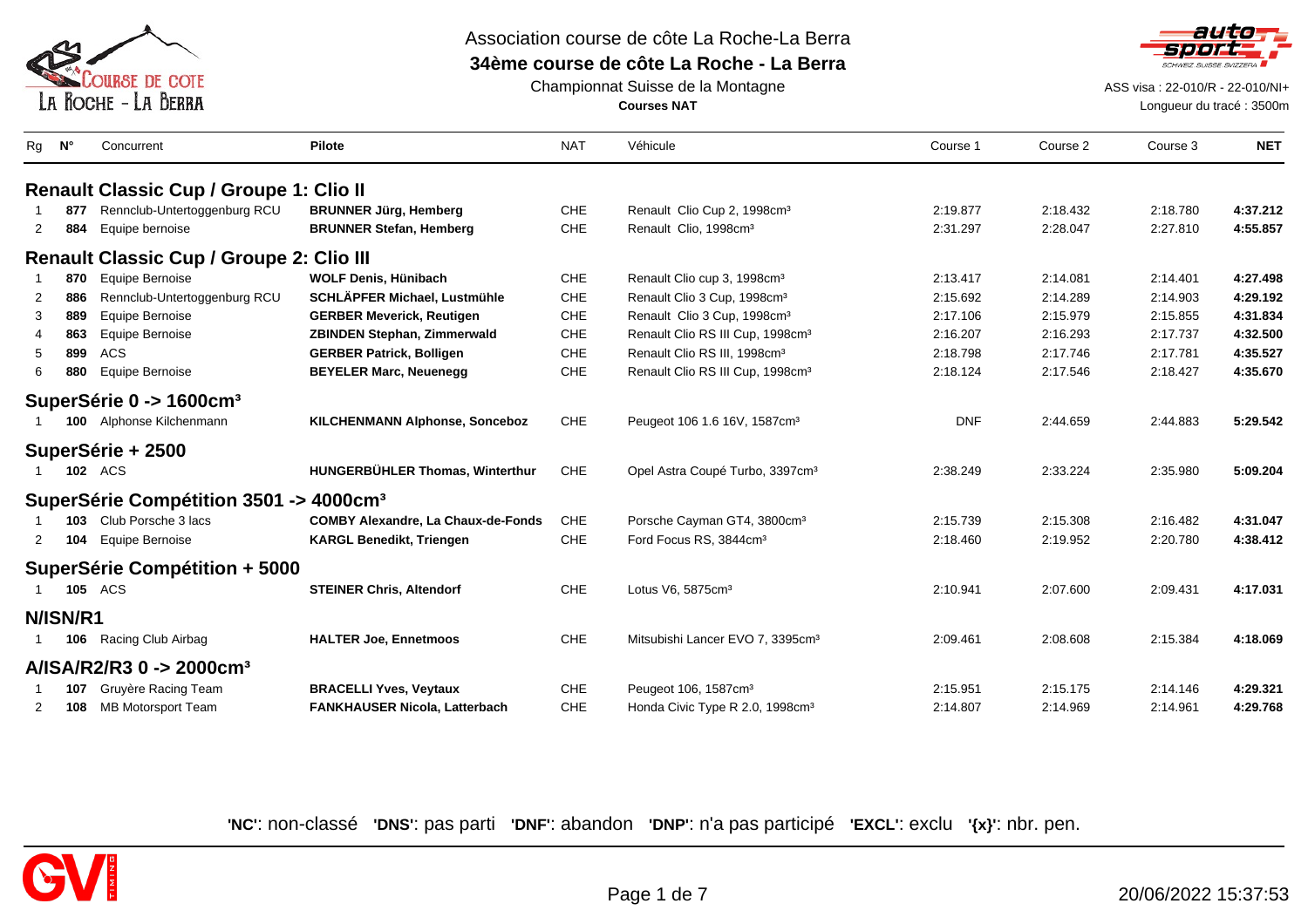

# Association course de côte La Roche-La Berra

## **34ème course de côte La Roche - La Berra**



Championnat Suisse de la Montagne**Courses NAT**

ASS visa : 22-010/R - 22-010/NI+

Longueur du tracé : 3500m

|                                     | Concurrent                                         | <b>Pilote</b>                             | <b>NAT</b> | Véhicule                                     | Course 1   | Course 2 | Course 3 | <b>NET</b> |
|-------------------------------------|----------------------------------------------------|-------------------------------------------|------------|----------------------------------------------|------------|----------|----------|------------|
|                                     | <b>Renault Classic Cup / Groupe 1: Clio II</b>     |                                           |            |                                              |            |          |          |            |
| 877                                 | Rennclub-Untertoggenburg RCU                       | <b>BRUNNER Jürg, Hemberg</b>              | <b>CHE</b> | Renault Clio Cup 2, 1998cm <sup>3</sup>      | 2:19.877   | 2:18.432 | 2:18.780 | 4:37.212   |
| 884<br>$\overline{2}$               | Equipe bernoise                                    | <b>BRUNNER Stefan, Hemberg</b>            | <b>CHE</b> | Renault Clio, 1998cm <sup>3</sup>            | 2:31.297   | 2:28.047 | 2:27.810 | 4:55.857   |
|                                     | <b>Renault Classic Cup / Groupe 2: Clio III</b>    |                                           |            |                                              |            |          |          |            |
| 870                                 | Equipe Bernoise                                    | <b>WOLF Denis, Hünibach</b>               | <b>CHE</b> | Renault Clio cup 3, 1998cm <sup>3</sup>      | 2:13.417   | 2:14.081 | 2:14.401 | 4:27.498   |
| 886<br>2                            | Rennclub-Untertoggenburg RCU                       | SCHLÄPFER Michael, Lustmühle              | CHE        | Renault Clio 3 Cup, 1998cm <sup>3</sup>      | 2:15.692   | 2:14.289 | 2:14.903 | 4:29.192   |
| 889<br>3                            | Equipe Bernoise                                    | <b>GERBER Meverick, Reutigen</b>          | CHE        | Renault Clio 3 Cup, 1998cm <sup>3</sup>      | 2:17.106   | 2:15.979 | 2:15.855 | 4:31.834   |
| 863                                 | Equipe Bernoise                                    | <b>ZBINDEN Stephan, Zimmerwald</b>        | <b>CHE</b> | Renault Clio RS III Cup, 1998cm <sup>3</sup> | 2:16.207   | 2:16.293 | 2:17.737 | 4:32.500   |
| 899<br><b>ACS</b><br>5              |                                                    | <b>GERBER Patrick, Bolligen</b>           | CHE        | Renault Clio RS III, 1998cm <sup>3</sup>     | 2:18.798   | 2:17.746 | 2:17.781 | 4:35.527   |
| 880<br>6                            | Equipe Bernoise                                    | <b>BEYELER Marc, Neuenegg</b>             | CHE        | Renault Clio RS III Cup, 1998cm <sup>3</sup> | 2:18.124   | 2:17.546 | 2:18.427 | 4:35.670   |
| SuperSérie 0 -> 1600cm <sup>3</sup> |                                                    |                                           |            |                                              |            |          |          |            |
|                                     | 100 Alphonse Kilchenmann                           | <b>KILCHENMANN Alphonse, Sonceboz</b>     | CHE        | Peugeot 106 1.6 16V, 1587cm <sup>3</sup>     | <b>DNF</b> | 2:44.659 | 2:44.883 | 5:29.542   |
| SuperSérie + 2500                   |                                                    |                                           |            |                                              |            |          |          |            |
| <b>102</b> ACS                      |                                                    | <b>HUNGERBÜHLER Thomas, Winterthur</b>    | CHE        | Opel Astra Coupé Turbo, 3397cm <sup>3</sup>  | 2:38.249   | 2:33.224 | 2:35.980 | 5:09.204   |
|                                     | SuperSérie Compétition 3501 -> 4000cm <sup>3</sup> |                                           |            |                                              |            |          |          |            |
| 103 Club Porsche 3 lacs             |                                                    | <b>COMBY Alexandre, La Chaux-de-Fonds</b> | <b>CHE</b> | Porsche Cayman GT4, 3800cm <sup>3</sup>      | 2:15.739   | 2:15.308 | 2:16.482 | 4:31.047   |
| 104<br>2                            | Equipe Bernoise                                    | <b>KARGL Benedikt, Triengen</b>           | CHE        | Ford Focus RS, 3844cm <sup>3</sup>           | 2:18.460   | 2:19.952 | 2:20.780 | 4:38.412   |
|                                     | SuperSérie Compétition + 5000                      |                                           |            |                                              |            |          |          |            |
| <b>105 ACS</b>                      |                                                    | <b>STEINER Chris, Altendorf</b>           | <b>CHE</b> | Lotus V6, 5875cm <sup>3</sup>                | 2:10.941   | 2:07.600 | 2:09.431 | 4:17.031   |
| N/ISN/R1                            |                                                    |                                           |            |                                              |            |          |          |            |
| 106                                 | Racing Club Airbag                                 | <b>HALTER Joe, Ennetmoos</b>              | CHE        | Mitsubishi Lancer EVO 7, 3395cm <sup>3</sup> | 2:09.461   | 2:08.608 | 2:15.384 | 4:18.069   |
| $A/ISA/R2/R30 - > 2000cm3$          |                                                    |                                           |            |                                              |            |          |          |            |
| 107                                 | Gruyère Racing Team                                | <b>BRACELLI Yves, Veytaux</b>             | CHE        | Peugeot 106, 1587cm <sup>3</sup>             | 2:15.951   | 2:15.175 | 2:14.146 | 4:29.321   |
| 108<br>2                            | MB Motorsport Team                                 | FANKHAUSER Nicola, Latterbach             | CHE        | Honda Civic Type R 2.0, 1998cm <sup>3</sup>  | 2:14.807   | 2:14.969 | 2:14.961 | 4:29.768   |

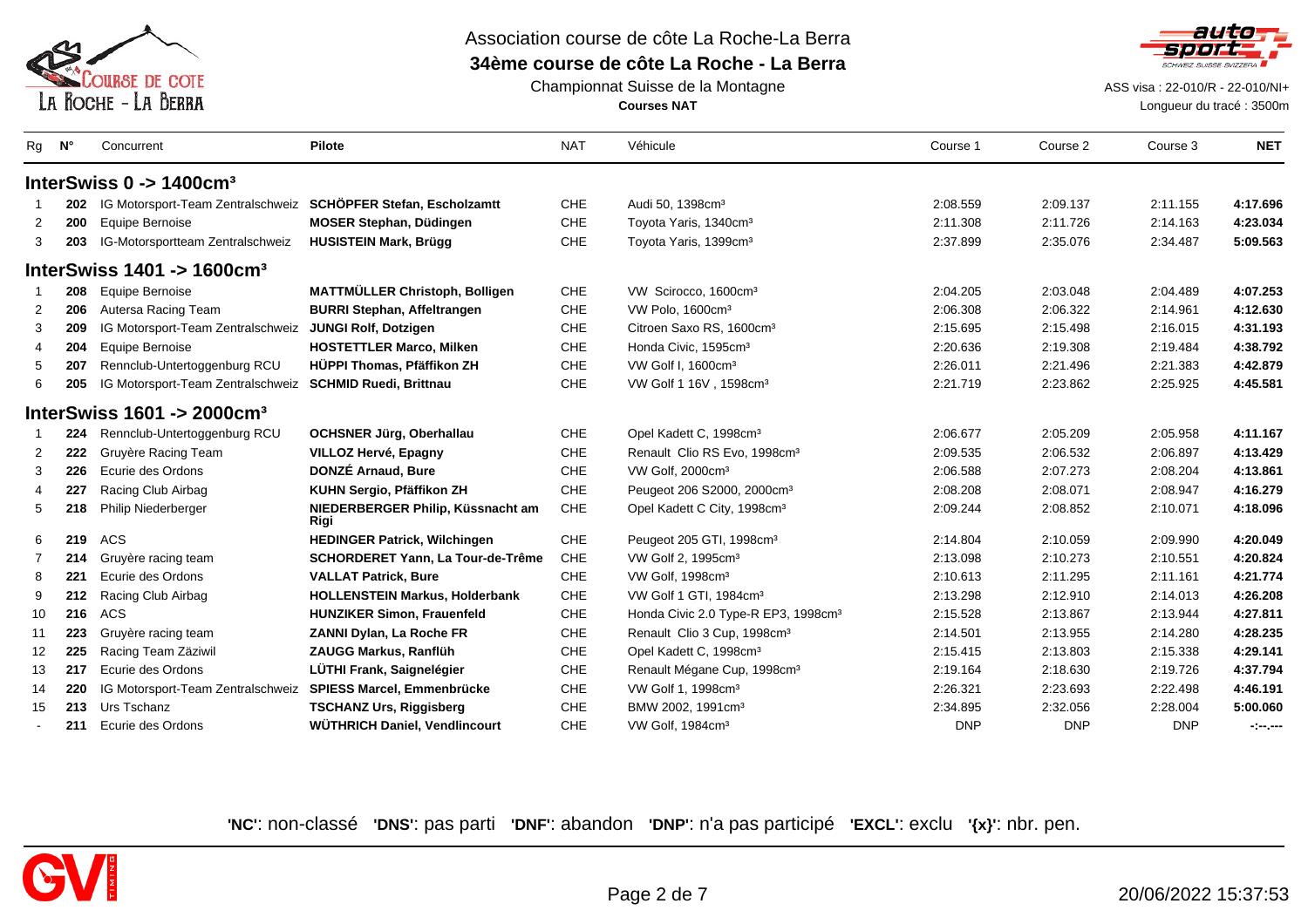



Championnat Suisse de la Montagne**Courses NAT**

ASS visa : 22-010/R - 22-010/NI+

Longueur du tracé : 3500m

| Rg             | $N^{\circ}$ | Concurrent                                                     | <b>Pilote</b>                             | <b>NAT</b> | Véhicule                                        | Course 1   | Course 2   | Course 3   | <b>NET</b>           |
|----------------|-------------|----------------------------------------------------------------|-------------------------------------------|------------|-------------------------------------------------|------------|------------|------------|----------------------|
|                |             | InterSwiss $0 \rightarrow 1400$ cm <sup>3</sup>                |                                           |            |                                                 |            |            |            |                      |
|                | 202         | IG Motorsport-Team Zentralschweiz SCHÖPFER Stefan, Escholzamtt |                                           | <b>CHE</b> | Audi 50, 1398cm <sup>3</sup>                    | 2:08.559   | 2:09.137   | 2:11.155   | 4:17.696             |
| $\overline{2}$ | 200         | Equipe Bernoise                                                | <b>MOSER Stephan, Düdingen</b>            | CHE        | Toyota Yaris, 1340cm <sup>3</sup>               | 2:11.308   | 2:11.726   | 2:14.163   | 4:23.034             |
| 3              | 203         | IG-Motorsportteam Zentralschweiz                               | <b>HUSISTEIN Mark, Brügg</b>              | CHE        | Toyota Yaris, 1399cm <sup>3</sup>               | 2:37.899   | 2:35.076   | 2:34.487   | 5:09.563             |
|                |             | InterSwiss $1401 \div 1600$ cm <sup>3</sup>                    |                                           |            |                                                 |            |            |            |                      |
|                | 208         | Equipe Bernoise                                                | MATTMÜLLER Christoph, Bolligen            | CHE        | VW Scirocco, 1600cm <sup>3</sup>                | 2:04.205   | 2:03.048   | 2:04.489   | 4:07.253             |
| $\overline{2}$ | 206         | Autersa Racing Team                                            | <b>BURRI Stephan, Affeltrangen</b>        | CHE        | VW Polo, 1600cm <sup>3</sup>                    | 2:06.308   | 2:06.322   | 2:14.961   | 4:12.630             |
| 3              | 209         | IG Motorsport-Team Zentralschweiz                              | <b>JUNGI Rolf, Dotzigen</b>               | CHE        | Citroen Saxo RS, 1600cm <sup>3</sup>            | 2:15.695   | 2:15.498   | 2:16.015   | 4:31.193             |
| 4              | 204         | Equipe Bernoise                                                | <b>HOSTETTLER Marco, Milken</b>           | CHE        | Honda Civic, 1595cm <sup>3</sup>                | 2:20.636   | 2:19.308   | 2:19.484   | 4:38.792             |
| 5              | 207         | Rennclub-Untertoggenburg RCU                                   | HÜPPI Thomas, Pfäffikon ZH                | <b>CHE</b> | VW Golf I, 1600cm <sup>3</sup>                  | 2:26.011   | 2:21.496   | 2:21.383   | 4:42.879             |
| 6              | 205         | IG Motorsport-Team Zentralschweiz                              | <b>SCHMID Ruedi, Brittnau</b>             | CHE        | VW Golf 1 16V, 1598cm <sup>3</sup>              | 2:21.719   | 2:23.862   | 2:25.925   | 4:45.581             |
|                |             | InterSwiss $1601 \rightarrow 2000$ cm <sup>3</sup>             |                                           |            |                                                 |            |            |            |                      |
|                | 224         | Rennclub-Untertoggenburg RCU                                   | <b>OCHSNER Jürg, Oberhallau</b>           | CHE        | Opel Kadett C, 1998cm <sup>3</sup>              | 2:06.677   | 2:05.209   | 2:05.958   | 4:11.167             |
| $\overline{2}$ | 222         | Gruyère Racing Team                                            | <b>VILLOZ Hervé, Epagny</b>               | CHE        | Renault Clio RS Evo, 1998cm <sup>3</sup>        | 2:09.535   | 2:06.532   | 2:06.897   | 4:13.429             |
| 3              | 226         | Ecurie des Ordons                                              | DONZÉ Arnaud, Bure                        | CHE        | VW Golf, 2000cm <sup>3</sup>                    | 2:06.588   | 2:07.273   | 2:08.204   | 4:13.861             |
| 4              | 227         | Racing Club Airbag                                             | KUHN Sergio, Pfäffikon ZH                 | CHE        | Peugeot 206 S2000, 2000cm <sup>3</sup>          | 2:08.208   | 2:08.071   | 2:08.947   | 4:16.279             |
| 5              | 218         | <b>Philip Niederberger</b>                                     | NIEDERBERGER Philip, Küssnacht am<br>Rigi | CHE        | Opel Kadett C City, 1998cm <sup>3</sup>         | 2:09.244   | 2:08.852   | 2:10.071   | 4:18.096             |
| 6              | 219         | ACS                                                            | <b>HEDINGER Patrick, Wilchingen</b>       | <b>CHE</b> | Peugeot 205 GTI, 1998cm <sup>3</sup>            | 2:14.804   | 2:10.059   | 2:09.990   | 4:20.049             |
| $\overline{7}$ | 214         | Gruyère racing team                                            | SCHORDERET Yann, La Tour-de-Trême         | CHE        | VW Golf 2, 1995cm <sup>3</sup>                  | 2:13.098   | 2:10.273   | 2:10.551   | 4:20.824             |
| 8              | 221         | Ecurie des Ordons                                              | <b>VALLAT Patrick, Bure</b>               | <b>CHE</b> | VW Golf, 1998cm <sup>3</sup>                    | 2:10.613   | 2:11.295   | 2:11.161   | 4:21.774             |
| 9              | 212         | Racing Club Airbag                                             | <b>HOLLENSTEIN Markus, Holderbank</b>     | CHE        | VW Golf 1 GTI, 1984cm <sup>3</sup>              | 2:13.298   | 2:12.910   | 2:14.013   | 4:26.208             |
| 10             | 216         | <b>ACS</b>                                                     | <b>HUNZIKER Simon, Frauenfeld</b>         | <b>CHE</b> | Honda Civic 2.0 Type-R EP3, 1998cm <sup>3</sup> | 2:15.528   | 2:13.867   | 2:13.944   | 4:27.811             |
| 11             | 223         | Gruyère racing team                                            | ZANNI Dylan, La Roche FR                  | CHE        | Renault Clio 3 Cup, 1998cm <sup>3</sup>         | 2:14.501   | 2:13.955   | 2:14.280   | 4:28.235             |
| 12             | 225         | Racing Team Zäziwil                                            | ZAUGG Markus, Ranflüh                     | CHE        | Opel Kadett C, 1998cm <sup>3</sup>              | 2:15.415   | 2:13.803   | 2:15.338   | 4:29.141             |
| 13             | 217         | Ecurie des Ordons                                              | LÜTHI Frank, Saignelégier                 | CHE        | Renault Mégane Cup, 1998cm <sup>3</sup>         | 2:19.164   | 2:18.630   | 2:19.726   | 4:37.794             |
| 14             | 220         | IG Motorsport-Team Zentralschweiz                              | SPIESS Marcel, Emmenbrücke                | CHE        | VW Golf 1, 1998cm <sup>3</sup>                  | 2:26.321   | 2:23.693   | 2:22.498   | 4:46.191             |
| 15             | 213         | Urs Tschanz                                                    | <b>TSCHANZ Urs, Riggisberg</b>            | <b>CHE</b> | BMW 2002, 1991cm <sup>3</sup>                   | 2:34.895   | 2:32.056   | 2:28.004   | 5:00.060             |
|                | 211         | Ecurie des Ordons                                              | WÜTHRICH Daniel, Vendlincourt             | CHE        | VW Golf, 1984cm <sup>3</sup>                    | <b>DNP</b> | <b>DNP</b> | <b>DNP</b> | $-2 - 1 - 1 - 1 = 0$ |

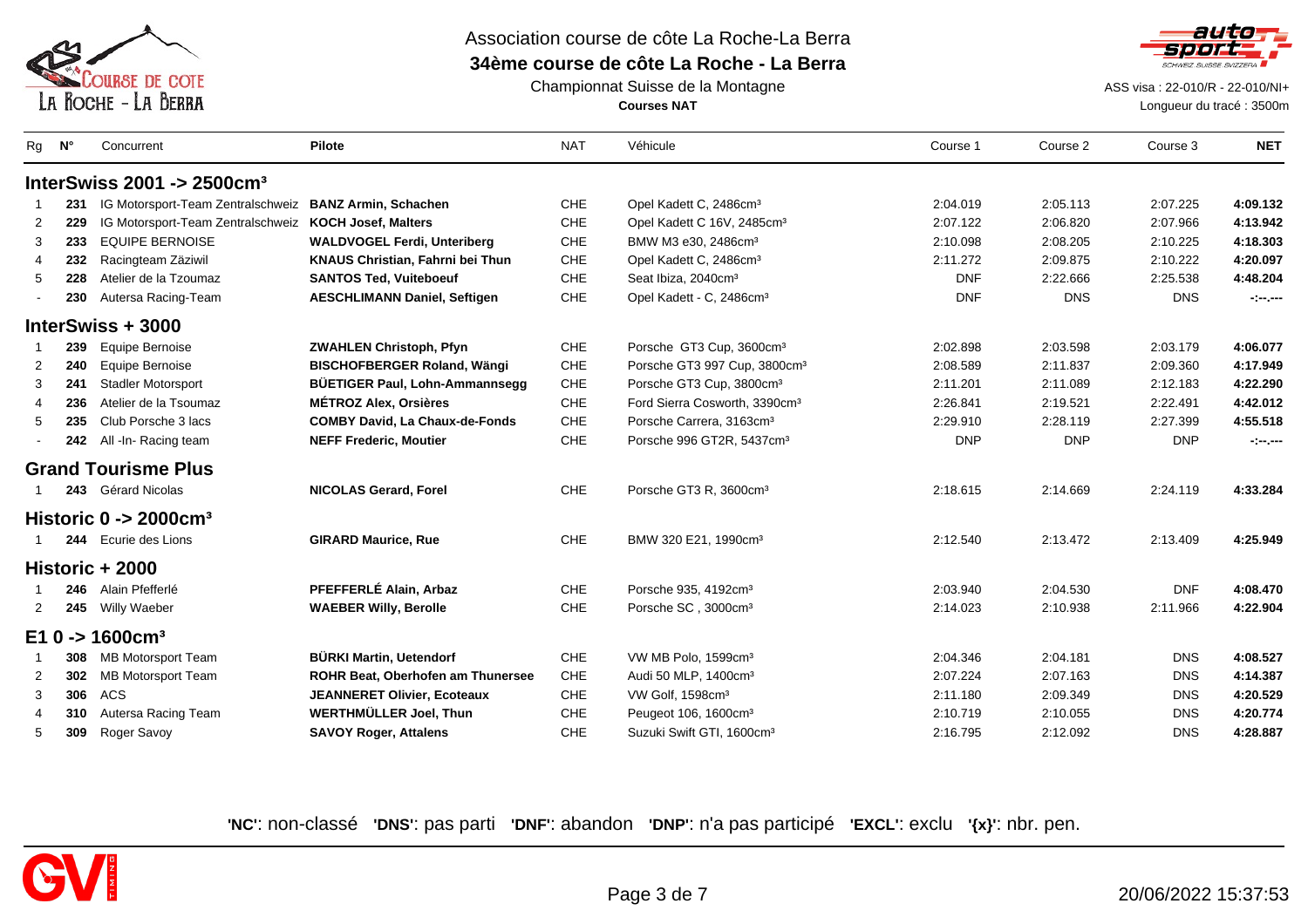



Championnat Suisse de la Montagne**Courses NAT**

ASS visa : 22-010/R - 22-010/NI+

Longueur du tracé : 3500m

| Rg              | N°  | Concurrent                                    | <b>Pilote</b>                           | <b>NAT</b> | Véhicule                                  | Course 1   | Course 2   | Course 3   | <b>NET</b>       |
|-----------------|-----|-----------------------------------------------|-----------------------------------------|------------|-------------------------------------------|------------|------------|------------|------------------|
|                 |     | InterSwiss 2001 -> $2500$ cm <sup>3</sup>     |                                         |            |                                           |            |            |            |                  |
|                 | 231 | IG Motorsport-Team Zentralschweiz             | <b>BANZ Armin, Schachen</b>             | CHE        | Opel Kadett C, 2486cm <sup>3</sup>        | 2:04.019   | 2:05.113   | 2:07.225   | 4:09.132         |
| 2               | 229 | IG Motorsport-Team Zentralschweiz             | <b>KOCH Josef, Malters</b>              | <b>CHE</b> | Opel Kadett C 16V, 2485cm <sup>3</sup>    | 2:07.122   | 2:06.820   | 2:07.966   | 4:13.942         |
| 3               | 233 | <b>EQUIPE BERNOISE</b>                        | <b>WALDVOGEL Ferdi, Unteriberg</b>      | CHE        | BMW M3 e30, 2486cm <sup>3</sup>           | 2:10.098   | 2:08.205   | 2:10.225   | 4:18.303         |
| 4               | 232 | Racingteam Zäziwil                            | <b>KNAUS Christian, Fahrni bei Thun</b> | <b>CHE</b> | Opel Kadett C, 2486cm <sup>3</sup>        | 2:11.272   | 2:09.875   | 2:10.222   | 4:20.097         |
| 5               | 228 | Atelier de la Tzoumaz                         | <b>SANTOS Ted, Vuiteboeuf</b>           | <b>CHE</b> | Seat Ibiza, 2040cm <sup>3</sup>           | <b>DNF</b> | 2:22.666   | 2:25.538   | 4:48.204         |
|                 | 230 | Autersa Racing-Team                           | <b>AESCHLIMANN Daniel, Seftigen</b>     | <b>CHE</b> | Opel Kadett - C, 2486cm <sup>3</sup>      | <b>DNF</b> | <b>DNS</b> | <b>DNS</b> | $-1 - 1 - 1 = 0$ |
|                 |     | InterSwiss + 3000                             |                                         |            |                                           |            |            |            |                  |
|                 | 239 | <b>Equipe Bernoise</b>                        | <b>ZWAHLEN Christoph, Pfyn</b>          | <b>CHE</b> | Porsche GT3 Cup, 3600cm <sup>3</sup>      | 2:02.898   | 2:03.598   | 2:03.179   | 4:06.077         |
| 2               | 240 | Equipe Bernoise                               | <b>BISCHOFBERGER Roland, Wängi</b>      | CHE        | Porsche GT3 997 Cup, 3800cm <sup>3</sup>  | 2:08.589   | 2:11.837   | 2:09.360   | 4:17.949         |
| 3               | 241 | <b>Stadler Motorsport</b>                     | <b>BÜETIGER Paul, Lohn-Ammannsegg</b>   | CHE        | Porsche GT3 Cup, 3800cm <sup>3</sup>      | 2:11.201   | 2:11.089   | 2:12.183   | 4:22.290         |
| 4               | 236 | Atelier de la Tsoumaz                         | <b>MÉTROZ Alex, Orsières</b>            | CHE        | Ford Sierra Cosworth, 3390cm <sup>3</sup> | 2:26.841   | 2:19.521   | 2:22.491   | 4:42.012         |
| 5               | 235 | Club Porsche 3 lacs                           | <b>COMBY David, La Chaux-de-Fonds</b>   | <b>CHE</b> | Porsche Carrera, 3163cm <sup>3</sup>      | 2:29.910   | 2:28.119   | 2:27.399   | 4:55.518         |
|                 | 242 | All -In- Racing team                          | <b>NEFF Frederic, Moutier</b>           | CHE        | Porsche 996 GT2R, 5437cm <sup>3</sup>     | <b>DNP</b> | <b>DNP</b> | <b>DNP</b> | -1-1---          |
|                 |     | <b>Grand Tourisme Plus</b>                    |                                         |            |                                           |            |            |            |                  |
|                 |     | 243 Gérard Nicolas                            | <b>NICOLAS Gerard, Forel</b>            | CHE        | Porsche GT3 R, 3600cm <sup>3</sup>        | 2:18.615   | 2:14.669   | 2:24.119   | 4:33.284         |
|                 |     | Historic $0 \rightarrow 2000$ cm <sup>3</sup> |                                         |            |                                           |            |            |            |                  |
|                 |     | 244 Ecurie des Lions                          | <b>GIRARD Maurice, Rue</b>              | CHE        | BMW 320 E21, 1990cm <sup>3</sup>          | 2:12.540   | 2:13.472   | 2:13.409   | 4:25.949         |
|                 |     | Historic + 2000                               |                                         |            |                                           |            |            |            |                  |
|                 |     | 246 Alain Pfefferlé                           | PFEFFERLÉ Alain, Arbaz                  | <b>CHE</b> | Porsche 935, 4192cm <sup>3</sup>          | 2:03.940   | 2:04.530   | <b>DNF</b> | 4:08.470         |
| 2               |     | 245 Willy Waeber                              | <b>WAEBER Willy, Berolle</b>            | CHE        | Porsche SC, 3000cm <sup>3</sup>           | 2:14.023   | 2:10.938   | 2:11.966   | 4:22.904         |
| E <sub>10</sub> | ->  | 1600cm <sup>3</sup>                           |                                         |            |                                           |            |            |            |                  |
|                 |     | 308 MB Motorsport Team                        | <b>BÜRKI Martin, Uetendorf</b>          | CHE        | VW MB Polo, 1599cm <sup>3</sup>           | 2:04.346   | 2:04.181   | <b>DNS</b> | 4:08.527         |
| 2               | 302 | <b>MB Motorsport Team</b>                     | ROHR Beat, Oberhofen am Thunersee       | CHE        | Audi 50 MLP, 1400cm <sup>3</sup>          | 2:07.224   | 2:07.163   | <b>DNS</b> | 4:14.387         |
| 3               | 306 | <b>ACS</b>                                    | <b>JEANNERET Olivier, Ecoteaux</b>      | CHE        | VW Golf, 1598cm <sup>3</sup>              | 2:11.180   | 2:09.349   | <b>DNS</b> | 4:20.529         |
| $\overline{4}$  | 310 | Autersa Racing Team                           | <b>WERTHMÜLLER Joel, Thun</b>           | <b>CHE</b> | Peugeot 106, 1600cm <sup>3</sup>          | 2:10.719   | 2:10.055   | <b>DNS</b> | 4:20.774         |
| 5               | 309 | Roger Savoy                                   | <b>SAVOY Roger, Attalens</b>            | <b>CHE</b> | Suzuki Swift GTI, 1600cm <sup>3</sup>     | 2:16.795   | 2:12.092   | <b>DNS</b> | 4:28.887         |

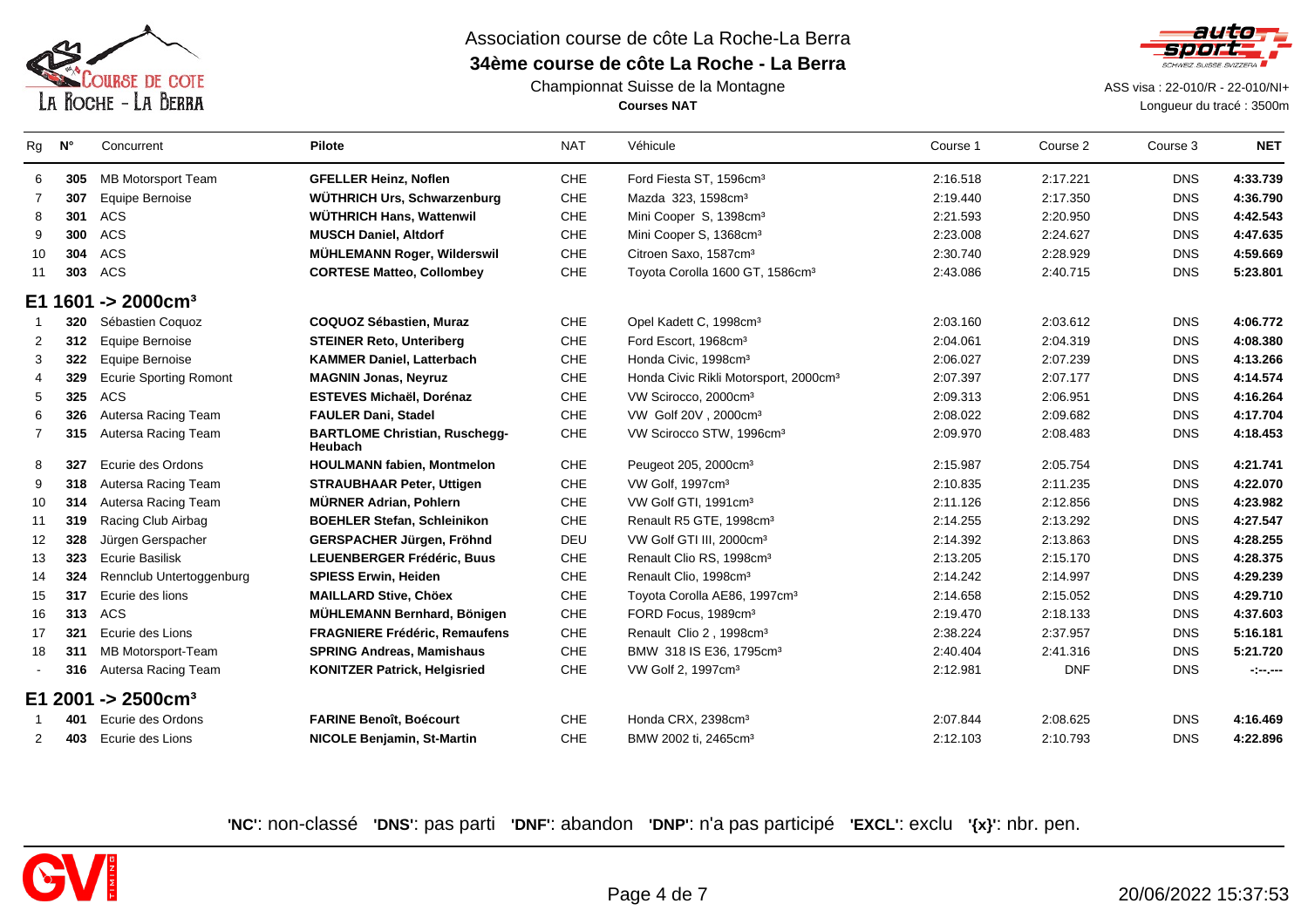

#### Championnat Suisse de la Montagne**Courses NAT**



 ASS visa : 22-010/R - 22-010/NI+ Longueur du tracé : 3500m

| Rg             | $N^{\circ}$ | Concurrent                     | <b>Pilote</b>                                   | <b>NAT</b> | Véhicule                                          | Course 1 | Course 2   | Course 3   | <b>NET</b> |
|----------------|-------------|--------------------------------|-------------------------------------------------|------------|---------------------------------------------------|----------|------------|------------|------------|
| 6              | 305         | <b>MB Motorsport Team</b>      | <b>GFELLER Heinz, Noflen</b>                    | CHE        | Ford Fiesta ST, 1596cm <sup>3</sup>               | 2:16.518 | 2:17.221   | <b>DNS</b> | 4:33.739   |
| 7              | 307         | Equipe Bernoise                | WÜTHRICH Urs, Schwarzenburg                     | CHE        | Mazda 323, 1598cm <sup>3</sup>                    | 2:19.440 | 2:17.350   | <b>DNS</b> | 4:36.790   |
| 8              | 301         | ACS                            | <b>WÜTHRICH Hans, Wattenwil</b>                 | <b>CHE</b> | Mini Cooper S, 1398cm <sup>3</sup>                | 2:21.593 | 2:20.950   | <b>DNS</b> | 4:42.543   |
| 9              | 300         | ACS                            | <b>MUSCH Daniel, Altdorf</b>                    | CHE        | Mini Cooper S, 1368cm <sup>3</sup>                | 2:23.008 | 2:24.627   | <b>DNS</b> | 4:47.635   |
| 10             | 304         | ACS                            | MÜHLEMANN Roger, Wilderswil                     | CHE        | Citroen Saxo, 1587cm <sup>3</sup>                 | 2:30.740 | 2:28.929   | <b>DNS</b> | 4:59.669   |
| 11             | 303         | ACS                            | <b>CORTESE Matteo, Collombey</b>                | CHE        | Toyota Corolla 1600 GT, 1586cm <sup>3</sup>       | 2:43.086 | 2:40.715   | <b>DNS</b> | 5:23.801   |
|                | E1 1601     | $-$ > 2000 $cm3$               |                                                 |            |                                                   |          |            |            |            |
|                | 320         | Sébastien Coquoz               | <b>COQUOZ Sébastien, Muraz</b>                  | CHE        | Opel Kadett C, 1998cm <sup>3</sup>                | 2:03.160 | 2:03.612   | <b>DNS</b> | 4:06.772   |
| 2              | 312         | Equipe Bernoise                | <b>STEINER Reto, Unteriberg</b>                 | CHE        | Ford Escort, 1968cm <sup>3</sup>                  | 2:04.061 | 2:04.319   | <b>DNS</b> | 4:08.380   |
| 3              | 322         | Equipe Bernoise                | <b>KAMMER Daniel, Latterbach</b>                | CHE        | Honda Civic, 1998cm <sup>3</sup>                  | 2:06.027 | 2:07.239   | <b>DNS</b> | 4:13.266   |
| 4              | 329         | <b>Ecurie Sporting Romont</b>  | <b>MAGNIN Jonas, Neyruz</b>                     | CHE        | Honda Civic Rikli Motorsport, 2000cm <sup>3</sup> | 2:07.397 | 2:07.177   | <b>DNS</b> | 4:14.574   |
| 5              | 325         | ACS                            | <b>ESTEVES Michaël, Dorénaz</b>                 | CHE        | VW Scirocco, 2000cm <sup>3</sup>                  | 2:09.313 | 2:06.951   | <b>DNS</b> | 4:16.264   |
| 6              | 326         | Autersa Racing Team            | <b>FAULER Dani, Stadel</b>                      | <b>CHE</b> | VW Golf 20V, 2000cm <sup>3</sup>                  | 2:08.022 | 2:09.682   | <b>DNS</b> | 4:17.704   |
| $\overline{7}$ | 315         | Autersa Racing Team            | <b>BARTLOME Christian, Ruschegg-</b><br>Heubach | CHE        | VW Scirocco STW, 1996cm <sup>3</sup>              | 2:09.970 | 2:08.483   | <b>DNS</b> | 4:18.453   |
| 8              | 327         | Ecurie des Ordons              | <b>HOULMANN fabien, Montmelon</b>               | <b>CHE</b> | Peugeot 205, 2000cm <sup>3</sup>                  | 2:15.987 | 2:05.754   | <b>DNS</b> | 4:21.741   |
| 9              | 318         | Autersa Racing Team            | <b>STRAUBHAAR Peter, Uttigen</b>                | CHE        | VW Golf, 1997cm <sup>3</sup>                      | 2:10.835 | 2:11.235   | <b>DNS</b> | 4:22.070   |
| 10             | 314         | Autersa Racing Team            | <b>MÜRNER Adrian, Pohlern</b>                   | CHE        | VW Golf GTI, 1991cm <sup>3</sup>                  | 2:11.126 | 2:12.856   | <b>DNS</b> | 4:23.982   |
| 11             | 319         | Racing Club Airbag             | <b>BOEHLER Stefan, Schleinikon</b>              | CHE        | Renault R5 GTE, 1998cm <sup>3</sup>               | 2:14.255 | 2:13.292   | <b>DNS</b> | 4:27.547   |
| 12             | 328         | Jürgen Gerspacher              | GERSPACHER Jürgen, Fröhnd                       | DEU        | VW Golf GTI III, 2000cm <sup>3</sup>              | 2:14.392 | 2:13.863   | <b>DNS</b> | 4:28.255   |
| 13             | 323         | <b>Ecurie Basilisk</b>         | <b>LEUENBERGER Frédéric, Buus</b>               | CHE        | Renault Clio RS, 1998cm <sup>3</sup>              | 2:13.205 | 2:15.170   | <b>DNS</b> | 4:28.375   |
| 14             | 324         | Rennclub Untertoggenburg       | <b>SPIESS Erwin, Heiden</b>                     | CHE        | Renault Clio, 1998cm <sup>3</sup>                 | 2:14.242 | 2:14.997   | <b>DNS</b> | 4:29.239   |
| 15             | 317         | Ecurie des lions               | <b>MAILLARD Stive, Chöex</b>                    | CHE        | Toyota Corolla AE86, 1997cm <sup>3</sup>          | 2:14.658 | 2:15.052   | <b>DNS</b> | 4:29.710   |
| 16             | 313         | ACS                            | <b>MÜHLEMANN Bernhard, Bönigen</b>              | CHE        | FORD Focus, 1989cm <sup>3</sup>                   | 2:19.470 | 2:18.133   | <b>DNS</b> | 4:37.603   |
| 17             | 321         | Ecurie des Lions               | <b>FRAGNIERE Frédéric, Remaufens</b>            | CHE        | Renault Clio 2, 1998cm <sup>3</sup>               | 2:38.224 | 2:37.957   | <b>DNS</b> | 5:16.181   |
| 18             | 311         | MB Motorsport-Team             | <b>SPRING Andreas, Mamishaus</b>                | CHE        | BMW 318 IS E36, 1795cm <sup>3</sup>               | 2:40.404 | 2:41.316   | <b>DNS</b> | 5:21.720   |
|                | 316         | Autersa Racing Team            | <b>KONITZER Patrick, Helgisried</b>             | CHE        | VW Golf 2, 1997cm <sup>3</sup>                    | 2:12.981 | <b>DNF</b> | <b>DNS</b> | -:--       |
|                |             | E1 2001 -> 2500cm <sup>3</sup> |                                                 |            |                                                   |          |            |            |            |
|                | 401         | Ecurie des Ordons              | <b>FARINE Benoît, Boécourt</b>                  | CHE        | Honda CRX, 2398cm <sup>3</sup>                    | 2:07.844 | 2:08.625   | <b>DNS</b> | 4:16.469   |
| $\overline{2}$ | 403         | Ecurie des Lions               | <b>NICOLE Benjamin, St-Martin</b>               | CHE        | BMW 2002 ti, 2465cm <sup>3</sup>                  | 2:12.103 | 2:10.793   | <b>DNS</b> | 4:22.896   |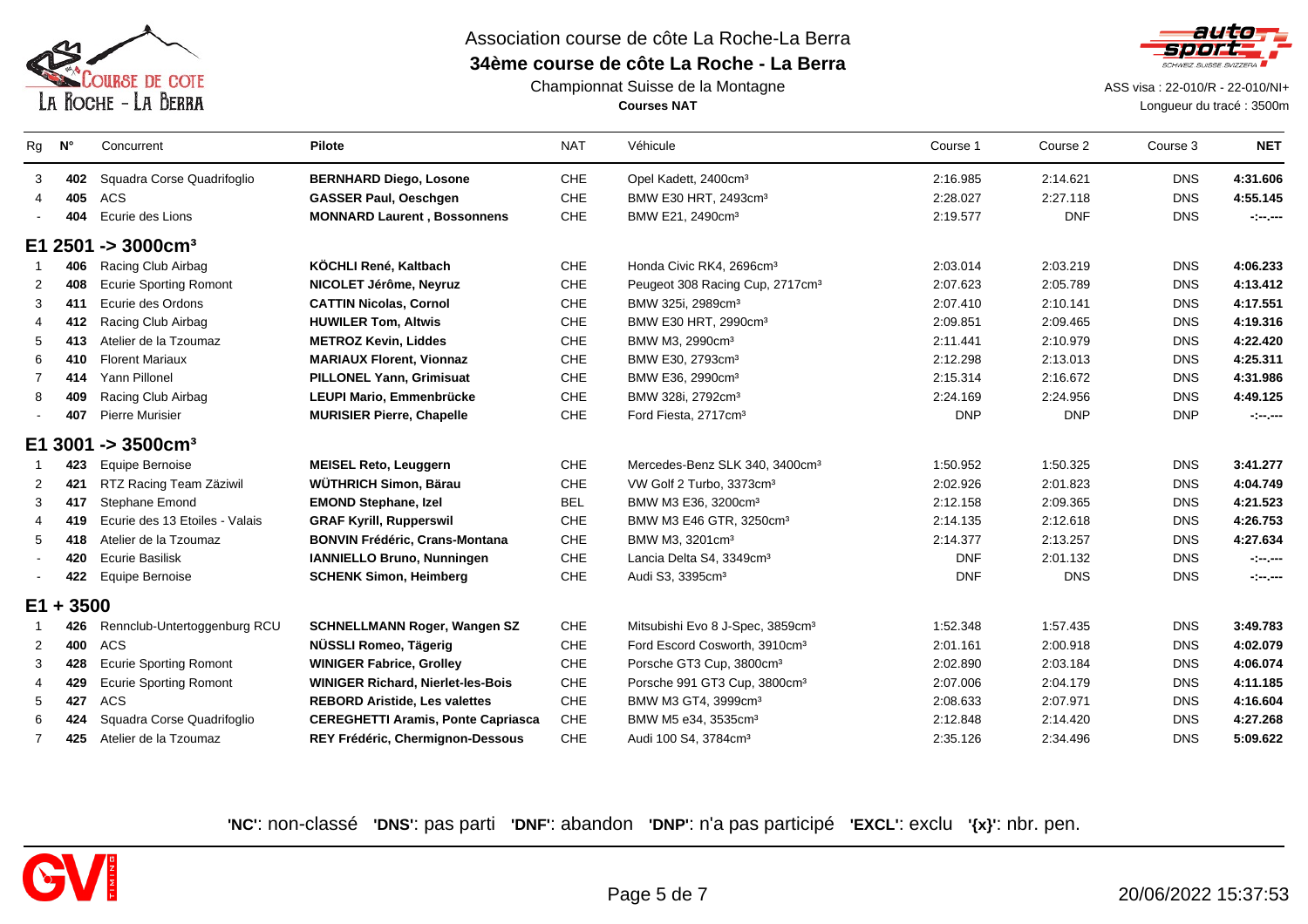

#### Championnat Suisse de la Montagne**Courses NAT**



 ASS visa : 22-010/R - 22-010/NI+ Longueur du tracé : 3500m

| Rg             | $N^{\circ}$ | Concurrent                     | <b>Pilote</b>                             | <b>NAT</b> | Véhicule                                     | Course 1   | Course 2   | Course 3   | <b>NET</b>                |
|----------------|-------------|--------------------------------|-------------------------------------------|------------|----------------------------------------------|------------|------------|------------|---------------------------|
| 3              | 402         | Squadra Corse Quadrifoglio     | <b>BERNHARD Diego, Losone</b>             | <b>CHE</b> | Opel Kadett, 2400cm <sup>3</sup>             | 2:16.985   | 2:14.621   | <b>DNS</b> | 4:31.606                  |
| 4              | 405         | <b>ACS</b>                     | <b>GASSER Paul, Oeschgen</b>              | <b>CHE</b> | BMW E30 HRT, 2493cm <sup>3</sup>             | 2:28.027   | 2:27.118   | <b>DNS</b> | 4:55.145                  |
|                | 404         | Ecurie des Lions               | <b>MONNARD Laurent, Bossonnens</b>        | CHE        | BMW E21, 2490cm <sup>3</sup>                 | 2:19.577   | <b>DNF</b> | <b>DNS</b> | $\sim$ $ -$               |
|                |             | E1 2501 -> 3000cm <sup>3</sup> |                                           |            |                                              |            |            |            |                           |
|                | 406         | Racing Club Airbag             | KÖCHLI René, Kaltbach                     | <b>CHE</b> | Honda Civic RK4, 2696cm <sup>3</sup>         | 2:03.014   | 2:03.219   | <b>DNS</b> | 4:06.233                  |
| 2              | 408         | <b>Ecurie Sporting Romont</b>  | NICOLET Jérôme, Neyruz                    | CHE        | Peugeot 308 Racing Cup, 2717cm <sup>3</sup>  | 2:07.623   | 2:05.789   | <b>DNS</b> | 4:13.412                  |
| 3              | 411         | Ecurie des Ordons              | <b>CATTIN Nicolas, Cornol</b>             | <b>CHE</b> | BMW 325i, 2989cm <sup>3</sup>                | 2:07.410   | 2:10.141   | <b>DNS</b> | 4:17.551                  |
| 4              | 412         | Racing Club Airbag             | <b>HUWILER Tom, Altwis</b>                | CHE        | BMW E30 HRT, 2990cm <sup>3</sup>             | 2:09.851   | 2:09.465   | <b>DNS</b> | 4:19.316                  |
| 5              | 413         | Atelier de la Tzoumaz          | <b>METROZ Kevin, Liddes</b>               | <b>CHE</b> | BMW M3, 2990cm <sup>3</sup>                  | 2:11.441   | 2:10.979   | <b>DNS</b> | 4:22.420                  |
| 6              | 410         | <b>Florent Mariaux</b>         | <b>MARIAUX Florent, Vionnaz</b>           | CHE        | BMW E30, 2793cm <sup>3</sup>                 | 2:12.298   | 2:13.013   | <b>DNS</b> | 4:25.311                  |
| $\overline{7}$ | 414         | Yann Pillonel                  | <b>PILLONEL Yann, Grimisuat</b>           | <b>CHE</b> | BMW E36, 2990cm <sup>3</sup>                 | 2:15.314   | 2:16.672   | <b>DNS</b> | 4:31.986                  |
| 8              | 409         | Racing Club Airbag             | LEUPI Mario, Emmenbrücke                  | <b>CHE</b> | BMW 328i, 2792cm <sup>3</sup>                | 2:24.169   | 2:24.956   | <b>DNS</b> | 4:49.125                  |
|                | 407         | <b>Pierre Murisier</b>         | <b>MURISIER Pierre, Chapelle</b>          | CHE        | Ford Fiesta, 2717cm <sup>3</sup>             | <b>DNP</b> | <b>DNP</b> | <b>DNP</b> | $-1 - 1 - 1 - 1 = 0$      |
|                |             | E1 3001 -> 3500cm <sup>3</sup> |                                           |            |                                              |            |            |            |                           |
|                | 423         | <b>Equipe Bernoise</b>         | <b>MEISEL Reto, Leuggern</b>              | <b>CHE</b> | Mercedes-Benz SLK 340, 3400cm <sup>3</sup>   | 1:50.952   | 1:50.325   | <b>DNS</b> | 3:41.277                  |
| $\overline{2}$ | 421         | RTZ Racing Team Zäziwil        | <b>WÜTHRICH Simon, Bärau</b>              | <b>CHE</b> | VW Golf 2 Turbo, 3373cm <sup>3</sup>         | 2:02.926   | 2:01.823   | <b>DNS</b> | 4:04.749                  |
| 3              | 417         | Stephane Emond                 | <b>EMOND Stephane, Izel</b>               | <b>BEL</b> | BMW M3 E36, 3200cm <sup>3</sup>              | 2:12.158   | 2:09.365   | <b>DNS</b> | 4:21.523                  |
|                | 419         | Ecurie des 13 Etoiles - Valais | <b>GRAF Kyrill, Rupperswil</b>            | CHE        | BMW M3 E46 GTR, 3250cm <sup>3</sup>          | 2:14.135   | 2:12.618   | <b>DNS</b> | 4:26.753                  |
| 5              | 418         | Atelier de la Tzoumaz          | <b>BONVIN Frédéric, Crans-Montana</b>     | CHE        | BMW M3, 3201cm <sup>3</sup>                  | 2:14.377   | 2:13.257   | <b>DNS</b> | 4:27.634                  |
|                | 420         | <b>Ecurie Basilisk</b>         | IANNIELLO Bruno, Nunningen                | CHE        | Lancia Delta S4, 3349cm <sup>3</sup>         | <b>DNF</b> | 2:01.132   | <b>DNS</b> | $-1 - 1 - 1 = 0$          |
|                | 422         | <b>Equipe Bernoise</b>         | <b>SCHENK Simon, Heimberg</b>             | CHE        | Audi S3, 3395cm <sup>3</sup>                 | <b>DNF</b> | <b>DNS</b> | <b>DNS</b> | $\sim$ 100 $\mu$ m $\sim$ |
| $E1 +$         | 3500        |                                |                                           |            |                                              |            |            |            |                           |
|                | 426         | Rennclub-Untertoggenburg RCU   | <b>SCHNELLMANN Roger, Wangen SZ</b>       | CHE        | Mitsubishi Evo 8 J-Spec, 3859cm <sup>3</sup> | 1:52.348   | 1:57.435   | <b>DNS</b> | 3:49.783                  |
| 2              | 400         | <b>ACS</b>                     | NÜSSLI Romeo, Tägerig                     | <b>CHE</b> | Ford Escord Cosworth, 3910cm <sup>3</sup>    | 2:01.161   | 2:00.918   | <b>DNS</b> | 4:02.079                  |
| 3              | 428         | <b>Ecurie Sporting Romont</b>  | <b>WINIGER Fabrice, Grolley</b>           | <b>CHE</b> | Porsche GT3 Cup, 3800cm <sup>3</sup>         | 2:02.890   | 2:03.184   | <b>DNS</b> | 4:06.074                  |
| 4              | 429         | <b>Ecurie Sporting Romont</b>  | <b>WINIGER Richard, Nierlet-les-Bois</b>  | <b>CHE</b> | Porsche 991 GT3 Cup, 3800cm <sup>3</sup>     | 2:07.006   | 2:04.179   | <b>DNS</b> | 4:11.185                  |
| 5              | 427         | <b>ACS</b>                     | <b>REBORD Aristide, Les valettes</b>      | <b>CHE</b> | BMW M3 GT4, 3999cm <sup>3</sup>              | 2:08.633   | 2:07.971   | <b>DNS</b> | 4:16.604                  |
| 6              | 424         | Squadra Corse Quadrifoglio     | <b>CEREGHETTI Aramis, Ponte Capriasca</b> | CHE        | BMW M5 e34, 3535cm <sup>3</sup>              | 2:12.848   | 2:14.420   | <b>DNS</b> | 4:27.268                  |
| $\overline{7}$ | 425         | Atelier de la Tzoumaz          | REY Frédéric, Chermignon-Dessous          | CHE        | Audi 100 S4, 3784cm <sup>3</sup>             | 2:35.126   | 2:34.496   | <b>DNS</b> | 5:09.622                  |

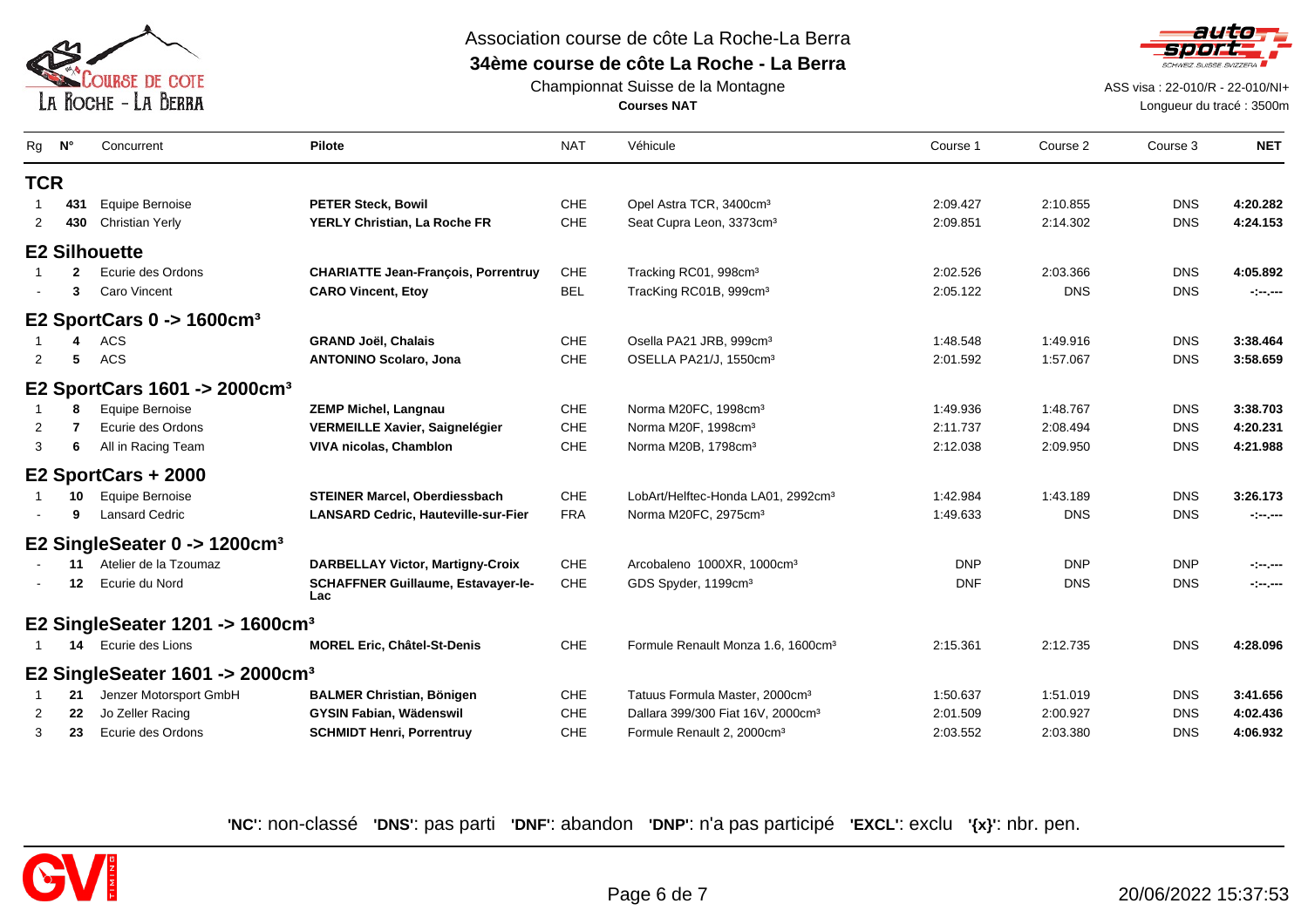

# Association course de côte La Roche-La Berra

## **34ème course de côte La Roche - La Berra**



Championnat Suisse de la Montagne**Courses NAT**

ASS visa : 22-010/R - 22-010/NI+

Longueur du tracé : 3500m

| Rg         | N°  | Concurrent                                     | <b>Pilote</b>                                    | <b>NAT</b> | Véhicule                                       | Course 1   | Course 2   | Course 3   | <b>NET</b>           |
|------------|-----|------------------------------------------------|--------------------------------------------------|------------|------------------------------------------------|------------|------------|------------|----------------------|
| <b>TCR</b> |     |                                                |                                                  |            |                                                |            |            |            |                      |
|            | 431 | Equipe Bernoise                                | <b>PETER Steck, Bowil</b>                        | CHE        | Opel Astra TCR, 3400cm <sup>3</sup>            | 2:09.427   | 2:10.855   | <b>DNS</b> | 4:20.282             |
| 2          | 430 | <b>Christian Yerly</b>                         | YERLY Christian, La Roche FR                     | CHE        | Seat Cupra Leon, 3373cm <sup>3</sup>           | 2:09.851   | 2:14.302   | <b>DNS</b> | 4:24.153             |
|            |     | <b>E2 Silhouette</b>                           |                                                  |            |                                                |            |            |            |                      |
|            | 2   | Ecurie des Ordons                              | <b>CHARIATTE Jean-François, Porrentruy</b>       | CHE        | Tracking RC01, 998cm <sup>3</sup>              | 2:02.526   | 2:03.366   | <b>DNS</b> | 4:05.892             |
|            | 3   | Caro Vincent                                   | <b>CARO Vincent, Etoy</b>                        | <b>BEL</b> | TracKing RC01B, 999cm <sup>3</sup>             | 2:05.122   | <b>DNS</b> | <b>DNS</b> | $\sim$ $  -$         |
|            |     | E2 SportCars $0 \rightarrow 1600 \text{cm}^3$  |                                                  |            |                                                |            |            |            |                      |
|            | 4   | ACS                                            | <b>GRAND Joël, Chalais</b>                       | <b>CHE</b> | Osella PA21 JRB, 999cm <sup>3</sup>            | 1:48.548   | 1:49.916   | <b>DNS</b> | 3:38.464             |
| 2          | 5   | <b>ACS</b>                                     | <b>ANTONINO Scolaro, Jona</b>                    | CHE        | OSELLA PA21/J, 1550cm <sup>3</sup>             | 2:01.592   | 1:57.067   | <b>DNS</b> | 3:58.659             |
|            |     | E2 SportCars 1601 -> 2000cm <sup>3</sup>       |                                                  |            |                                                |            |            |            |                      |
|            | 8   | Equipe Bernoise                                | <b>ZEMP Michel, Langnau</b>                      | <b>CHE</b> | Norma M20FC, 1998cm <sup>3</sup>               | 1:49.936   | 1:48.767   | <b>DNS</b> | 3:38.703             |
| 2          |     | Ecurie des Ordons                              | <b>VERMEILLE Xavier, Saignelégier</b>            | <b>CHE</b> | Norma M20F, 1998cm <sup>3</sup>                | 2:11.737   | 2:08.494   | <b>DNS</b> | 4:20.231             |
| 3          | 6   | All in Racing Team                             | <b>VIVA nicolas, Chamblon</b>                    | <b>CHE</b> | Norma M20B, 1798cm <sup>3</sup>                | 2:12.038   | 2:09.950   | <b>DNS</b> | 4:21.988             |
|            |     | E2 SportCars + 2000                            |                                                  |            |                                                |            |            |            |                      |
|            | 10  | <b>Equipe Bernoise</b>                         | <b>STEINER Marcel, Oberdiessbach</b>             | <b>CHE</b> | LobArt/Helftec-Honda LA01, 2992cm <sup>3</sup> | 1:42.984   | 1:43.189   | <b>DNS</b> | 3:26.173             |
|            | 9   | <b>Lansard Cedric</b>                          | <b>LANSARD Cedric, Hauteville-sur-Fier</b>       | <b>FRA</b> | Norma M20FC, 2975cm <sup>3</sup>               | 1:49.633   | <b>DNS</b> | <b>DNS</b> | $-1 - 1 - 1 - 1 - 1$ |
|            |     | E2 SingleSeater 0 -> 1200cm <sup>3</sup>       |                                                  |            |                                                |            |            |            |                      |
|            | 11  | Atelier de la Tzoumaz                          | <b>DARBELLAY Victor, Martigny-Croix</b>          | <b>CHE</b> | Arcobaleno 1000XR, 1000cm <sup>3</sup>         | <b>DNP</b> | <b>DNP</b> | <b>DNP</b> | $-1 - 1 - 1 - 1 - 1$ |
|            | 12  | Ecurie du Nord                                 | <b>SCHAFFNER Guillaume, Estavayer-le-</b><br>Lac | CHE        | GDS Spyder, 1199cm <sup>3</sup>                | <b>DNF</b> | <b>DNS</b> | <b>DNS</b> | $-1 - 1 - 1 - 1 - 1$ |
|            |     | E2 SingleSeater 1201 -> 1600cm <sup>3</sup>    |                                                  |            |                                                |            |            |            |                      |
|            | 14  | Ecurie des Lions                               | <b>MOREL Eric, Châtel-St-Denis</b>               | <b>CHE</b> | Formule Renault Monza 1.6, 1600cm <sup>3</sup> | 2:15.361   | 2:12.735   | <b>DNS</b> | 4:28.096             |
|            |     | E2 SingleSeater $1601 -> 2000$ cm <sup>3</sup> |                                                  |            |                                                |            |            |            |                      |
|            | 21  | Jenzer Motorsport GmbH                         | <b>BALMER Christian, Bönigen</b>                 | CHE        | Tatuus Formula Master, 2000cm <sup>3</sup>     | 1:50.637   | 1:51.019   | <b>DNS</b> | 3:41.656             |
| 2          | 22  | Jo Zeller Racing                               | <b>GYSIN Fabian, Wädenswil</b>                   | CHE        | Dallara 399/300 Fiat 16V, 2000cm <sup>3</sup>  | 2:01.509   | 2:00.927   | <b>DNS</b> | 4:02.436             |
| 3          | 23  | Ecurie des Ordons                              | <b>SCHMIDT Henri, Porrentruy</b>                 | CHE        | Formule Renault 2, 2000cm <sup>3</sup>         | 2:03.552   | 2:03.380   | <b>DNS</b> | 4:06.932             |